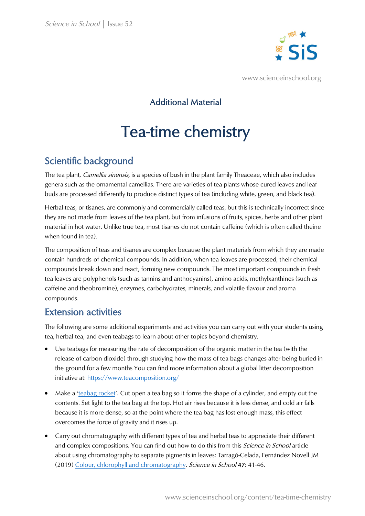

www.scienceinschool.org

### Additional Material

# Tea-time chemistry

## Scientific background

The tea plant, *Camellia sinensis*, is a species of bush in the plant family Theaceae, which also includes genera such as the ornamental camellias. There are varieties of tea plants whose cured leaves and leaf buds are processed differently to produce distinct types of tea (including white, green, and black tea).

Herbal teas, or tisanes, are commonly and commercially called teas, but this is technically incorrect since they are not made from leaves of the tea plant, but from infusions of fruits, spices, herbs and other plant material in hot water. Unlike true tea, most tisanes do not contain caffeine (which is often called theine when found in tea).

The composition of teas and tisanes are complex because the plant materials from which they are made contain hundreds of chemical compounds. In addition, when tea leaves are processed, their chemical compounds break down and react, forming new compounds. The most important compounds in fresh tea leaves are polyphenols (such as tannins and anthocyanins), amino acids, methylxanthines (such as caffeine and theobromine), enzymes, carbohydrates, minerals, and volatile flavour and aroma compounds.

#### Extension activities

The following are some additional experiments and activities you can carry out with your students using tea, herbal tea, and even teabags to learn abou[t other topics beyond chemistry.](https://www.teacomposition.org/) 

- Use teabags for measuring the rate of decomposition of the organic matter in the tea (with the release of carbon dioxide) through studying how the mass of tea bags changes after being buried in the ground for a few months You can find more information about a global litter decomposition initiative at: https://www.teacomposition.org/
- Make a ['teabag](https://www.youtube.com/watch?v=_6EdGOOeK5Y&ab_channel=Questacon) rocket'. Cut open a tea bag so it forms the shape of a cylinder, and empty out the contents. Set light to the tea bag at the top. Hot air rises because it is less dense, and cold air falls because it is more dense, so at the point where the tea bag has lost enough mass, this effect overcomes the force of gravity and it rises up.
- Carry out chromatography with different types of tea and herbal teas to appreciate their different and co[mplex compositions. You can find out how to do this from this](https://www.scienceinschool.org/content/colour-chlorophyll-and-chromatography) Science in School article about using chromatography to separate pigments in leaves: Tarragó-Celada, Fernández Novell JM (2019) Colour, chlorophyll and chromatography. Science in School 47: 41-46.